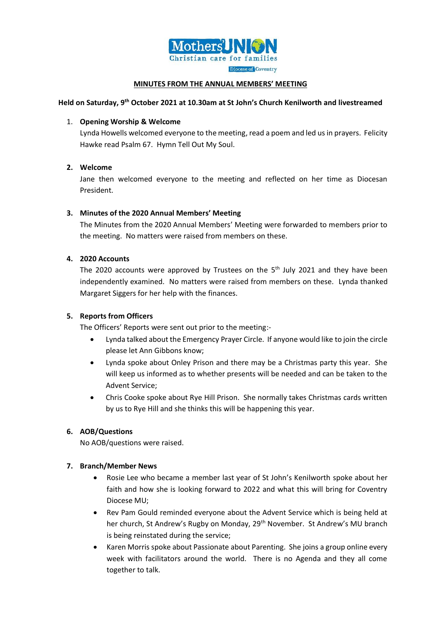

### **MINUTES FROM THE ANNUAL MEMBERS' MEETING**

# **Held on Saturday, 9 th October 2021 at 10.30am at St John's Church Kenilworth and livestreamed**

### 1. **Opening Worship & Welcome**

Lynda Howells welcomed everyone to the meeting, read a poem and led us in prayers. Felicity Hawke read Psalm 67. Hymn Tell Out My Soul.

# **2. Welcome**

Jane then welcomed everyone to the meeting and reflected on her time as Diocesan President.

# **3. Minutes of the 2020 Annual Members' Meeting**

The Minutes from the 2020 Annual Members' Meeting were forwarded to members prior to the meeting. No matters were raised from members on these.

# **4. 2020 Accounts**

The 2020 accounts were approved by Trustees on the  $5<sup>th</sup>$  July 2021 and they have been independently examined. No matters were raised from members on these. Lynda thanked Margaret Siggers for her help with the finances.

# **5. Reports from Officers**

The Officers' Reports were sent out prior to the meeting:-

- Lynda talked about the Emergency Prayer Circle. If anyone would like to join the circle please let Ann Gibbons know;
- Lynda spoke about Onley Prison and there may be a Christmas party this year. She will keep us informed as to whether presents will be needed and can be taken to the Advent Service;
- Chris Cooke spoke about Rye Hill Prison. She normally takes Christmas cards written by us to Rye Hill and she thinks this will be happening this year.

# **6. AOB/Questions**

No AOB/questions were raised.

#### **7. Branch/Member News**

- Rosie Lee who became a member last year of St John's Kenilworth spoke about her faith and how she is looking forward to 2022 and what this will bring for Coventry Diocese MU;
- Rev Pam Gould reminded everyone about the Advent Service which is being held at her church, St Andrew's Rugby on Monday, 29<sup>th</sup> November. St Andrew's MU branch is being reinstated during the service;
- Karen Morris spoke about Passionate about Parenting. She joins a group online every week with facilitators around the world. There is no Agenda and they all come together to talk.